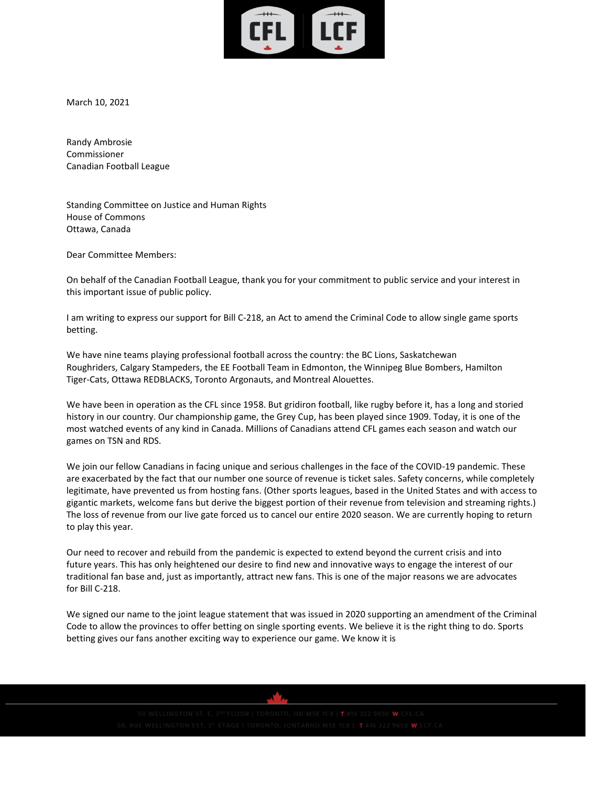

March 10, 2021

Randy Ambrosie Commissioner Canadian Football League

Standing Committee on Justice and Human Rights House of Commons Ottawa, Canada

Dear Committee Members:

On behalf of the Canadian Football League, thank you for your commitment to public service and your interest in this important issue of public policy.

I am writing to express our support for Bill C-218, an Act to amend the Criminal Code to allow single game sports betting.

We have nine teams playing professional football across the country: the BC Lions, Saskatchewan Roughriders, Calgary Stampeders, the EE Football Team in Edmonton, the Winnipeg Blue Bombers, Hamilton Tiger-Cats, Ottawa REDBLACKS, Toronto Argonauts, and Montreal Alouettes.

We have been in operation as the CFL since 1958. But gridiron football, like rugby before it, has a long and storied history in our country. Our championship game, the Grey Cup, has been played since 1909. Today, it is one of the most watched events of any kind in Canada. Millions of Canadians attend CFL games each season and watch our games on TSN and RDS.

We join our fellow Canadians in facing unique and serious challenges in the face of the COVID-19 pandemic. These are exacerbated by the fact that our number one source of revenue is ticket sales. Safety concerns, while completely legitimate, have prevented us from hosting fans. (Other sports leagues, based in the United States and with access to gigantic markets, welcome fans but derive the biggest portion of their revenue from television and streaming rights.) The loss of revenue from our live gate forced us to cancel our entire 2020 season. We are currently hoping to return to play this year.

Our need to recover and rebuild from the pandemic is expected to extend beyond the current crisis and into future years. This has only heightened our desire to find new and innovative ways to engage the interest of our traditional fan base and, just as importantly, attract new fans. This is one of the major reasons we are advocates for Bill C-218.

We signed our name to the joint league statement that was issued in 2020 supporting an amendment of the Criminal Code to allow the provinces to offer betting on single sporting events. We believe it is the right thing to do. Sports betting gives our fans another exciting way to experience our game. We know it is